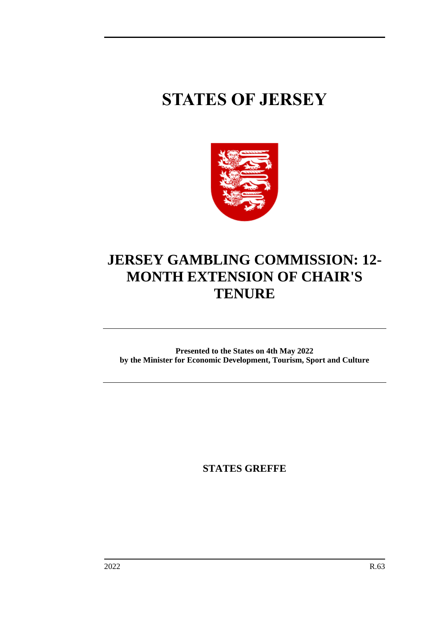## **STATES OF JERSEY**



## **JERSEY GAMBLING COMMISSION: 12- MONTH EXTENSION OF CHAIR'S TENURE**

**Presented to the States on 4th May 2022 by the Minister for Economic Development, Tourism, Sport and Culture**

**STATES GREFFE**